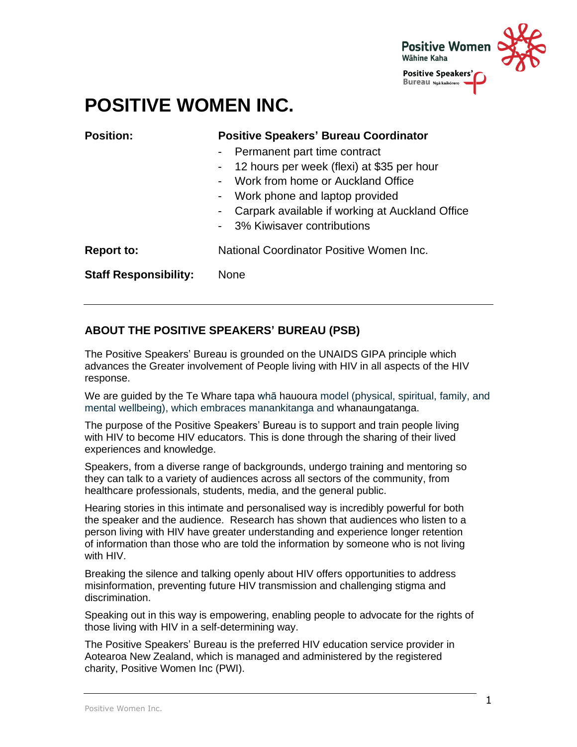

# **POSITIVE WOMEN INC.**

| <b>Position:</b>             | <b>Positive Speakers' Bureau Coordinator</b>                      |  |
|------------------------------|-------------------------------------------------------------------|--|
|                              | Permanent part time contract<br>$\sim$                            |  |
|                              | 12 hours per week (flexi) at \$35 per hour<br>$\sim$              |  |
|                              | Work from home or Auckland Office<br>$\overline{\phantom{a}}$     |  |
|                              | Work phone and laptop provided<br>$\blacksquare$                  |  |
|                              | Carpark available if working at Auckland Office<br>$\blacksquare$ |  |
|                              | - 3% Kiwisaver contributions                                      |  |
| <b>Report to:</b>            | National Coordinator Positive Women Inc.                          |  |
| <b>Staff Responsibility:</b> | <b>None</b>                                                       |  |
|                              |                                                                   |  |

## **ABOUT THE POSITIVE SPEAKERS' BUREAU (PSB)**

The Positive Speakers' Bureau is grounded on the UNAIDS GIPA principle which advances the Greater involvement of People living with HIV in all aspects of the HIV response.

We are guided by the Te Whare tapa whā hauoura model (physical, spiritual, family, and mental wellbeing), which embraces manankitanga and whanaungatanga.

The purpose of the Positive Speakers' Bureau is to support and train people living with HIV to become HIV educators. This is done through the sharing of their lived experiences and knowledge.

Speakers, from a diverse range of backgrounds, undergo training and mentoring so they can talk to a variety of audiences across all sectors of the community, from healthcare professionals, students, media, and the general public.

Hearing stories in this intimate and personalised way is incredibly powerful for both the speaker and the audience. Research has shown that audiences who listen to a person living with HIV have greater understanding and experience longer retention of information than those who are told the information by someone who is not living with HIV.

Breaking the silence and talking openly about HIV offers opportunities to address misinformation, preventing future HIV transmission and challenging stigma and discrimination.

Speaking out in this way is empowering, enabling people to advocate for the rights of those living with HIV in a self-determining way.

The Positive Speakers' Bureau is the preferred HIV education service provider in Aotearoa New Zealand, which is managed and administered by the registered charity, Positive Women Inc (PWI).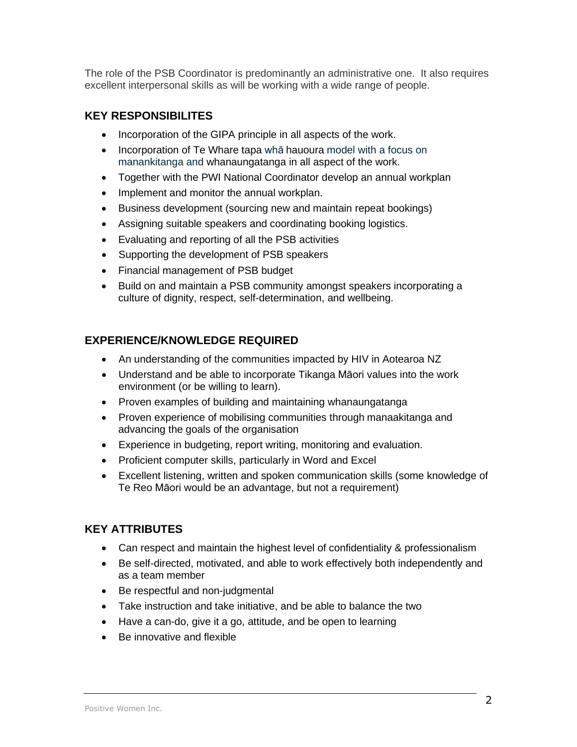The role of the PSB Coordinator is predominantly an administrative one. It also requires excellent interpersonal skills as will be working with a wide range of people.

### **KEY RESPONSIBILITES**

- Incorporation of the GIPA principle in all aspects of the work.
- Incorporation of Te Whare tapa whā hauoura model with a focus on manankitanga and whanaungatanga in all aspect of the work.
- Together with the PWI National Coordinator develop an annual workplan
- Implement and monitor the annual workplan.
- Business development (sourcing new and maintain repeat bookings)
- Assigning suitable speakers and coordinating booking logistics.
- Evaluating and reporting of all the PSB activities
- Supporting the development of PSB speakers
- Financial management of PSB budget
- Build on and maintain a PSB community amongst speakers incorporating a culture of dignity, respect, self-determination, and wellbeing.

#### **EXPERIENCE/KNOWLEDGE REQUIRED**

- An understanding of the communities impacted by HIV in Aotearoa NZ
- Understand and be able to incorporate Tikanga Māori values into the work environment (or be willing to learn).
- Proven examples of building and maintaining whanaungatanga
- Proven experience of mobilising communities through manaakitanga and advancing the goals of the organisation
- Experience in budgeting, report writing, monitoring and evaluation.
- Proficient computer skills, particularly in Word and Excel
- Excellent listening, written and spoken communication skills (some knowledge of Te Reo Māori would be an advantage, but not a requirement)

### **KEY ATTRIBUTES**

- Can respect and maintain the highest level of confidentiality & professionalism
- Be self-directed, motivated, and able to work effectively both independently and as a team member
- Be respectful and non-judgmental
- Take instruction and take initiative, and be able to balance the two
- Have a can-do, give it a go, attitude, and be open to learning
- Be innovative and flexible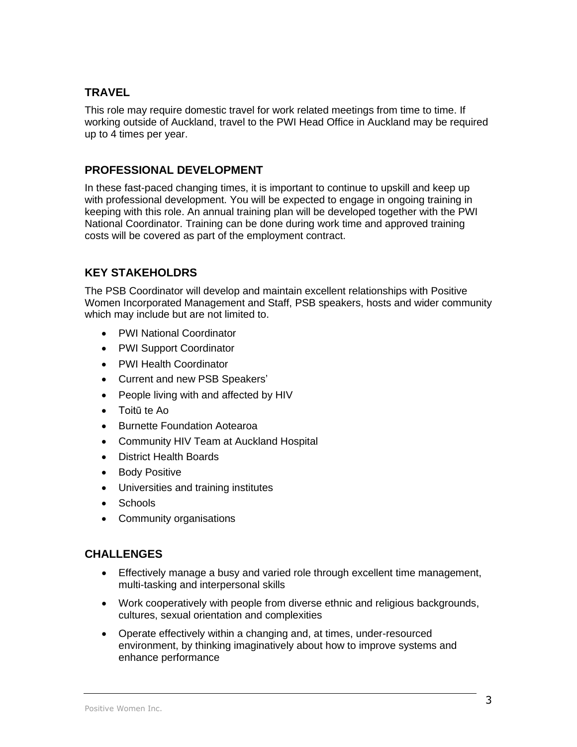#### **TRAVEL**

This role may require domestic travel for work related meetings from time to time. If working outside of Auckland, travel to the PWI Head Office in Auckland may be required up to 4 times per year.

#### **PROFESSIONAL DEVELOPMENT**

In these fast-paced changing times, it is important to continue to upskill and keep up with professional development. You will be expected to engage in ongoing training in keeping with this role. An annual training plan will be developed together with the PWI National Coordinator. Training can be done during work time and approved training costs will be covered as part of the employment contract.

#### **KEY STAKEHOLDRS**

The PSB Coordinator will develop and maintain excellent relationships with Positive Women Incorporated Management and Staff, PSB speakers, hosts and wider community which may include but are not limited to.

- PWI National Coordinator
- PWI Support Coordinator
- PWI Health Coordinator
- Current and new PSB Speakers'
- People living with and affected by HIV
- Toitū te Ao
- Burnette Foundation Aotearoa
- Community HIV Team at Auckland Hospital
- District Health Boards
- Body Positive
- Universities and training institutes
- Schools
- Community organisations

#### **CHALLENGES**

- Effectively manage a busy and varied role through excellent time management, multi-tasking and interpersonal skills
- Work cooperatively with people from diverse ethnic and religious backgrounds, cultures, sexual orientation and complexities
- Operate effectively within a changing and, at times, under-resourced environment, by thinking imaginatively about how to improve systems and enhance performance